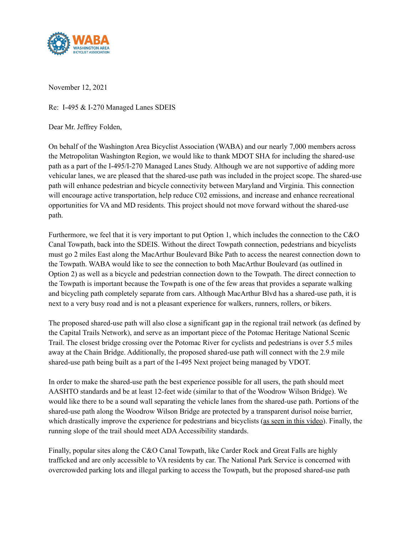

November 12, 2021

Re: I-495 & I-270 Managed Lanes SDEIS

Dear Mr. Jeffrey Folden,

On behalf of the Washington Area Bicyclist Association (WABA) and our nearly 7,000 members across the Metropolitan Washington Region, we would like to thank MDOT SHA for including the shared-use path as a part of the I-495/I-270 Managed Lanes Study. Although we are not supportive of adding more vehicular lanes, we are pleased that the shared-use path was included in the project scope. The shared-use path will enhance pedestrian and bicycle connectivity between Maryland and Virginia. This connection will encourage active transportation, help reduce C02 emissions, and increase and enhance recreational opportunities for VA and MD residents. This project should not move forward without the shared-use path.

Furthermore, we feel that it is very important to put Option 1, which includes the connection to the C&O Canal Towpath, back into the SDEIS. Without the direct Towpath connection, pedestrians and bicyclists must go 2 miles East along the MacArthur Boulevard Bike Path to access the nearest connection down to the Towpath. WABA would like to see the connection to both MacArthur Boulevard (as outlined in Option 2) as well as a bicycle and pedestrian connection down to the Towpath. The direct connection to the Towpath is important because the Towpath is one of the few areas that provides a separate walking and bicycling path completely separate from cars. Although MacArthur Blvd has a shared-use path, it is next to a very busy road and is not a pleasant experience for walkers, runners, rollers, or bikers.

The proposed shared-use path will also close a significant gap in the regional trail network (as defined by the Capital Trails Network), and serve as an important piece of the Potomac Heritage National Scenic Trail. The closest bridge crossing over the Potomac River for cyclists and pedestrians is over 5.5 miles away at the Chain Bridge. Additionally, the proposed shared-use path will connect with the 2.9 mile shared-use path being built as a part of the I-495 Next project being managed by VDOT.

In order to make the shared-use path the best experience possible for all users, the path should meet AASHTO standards and be at least 12-feet wide (similar to that of the Woodrow Wilson Bridge). We would like there to be a sound wall separating the vehicle lanes from the shared-use path. Portions of the shared-use path along the Woodrow Wilson Bridge are protected by a transparent durisol noise barrier, which drastically improve the experience for pedestrians and bicyclists [\(as seen in this video\)](https://www.facebook.com/watch/?v=604046537208876). Finally, the running slope of the trail should meet ADA Accessibility standards.

Finally, popular sites along the C&O Canal Towpath, like Carder Rock and Great Falls are highly trafficked and are only accessible to VA residents by car. The National Park Service is concerned with overcrowded parking lots and illegal parking to access the Towpath, but the proposed shared-use path